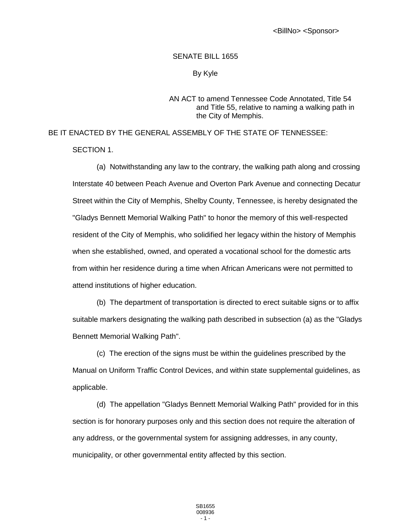## SENATE BILL 1655

## By Kyle

## AN ACT to amend Tennessee Code Annotated, Title 54 and Title 55, relative to naming a walking path in the City of Memphis.

BE IT ENACTED BY THE GENERAL ASSEMBLY OF THE STATE OF TENNESSEE:

SECTION 1.

(a) Notwithstanding any law to the contrary, the walking path along and crossing Interstate 40 between Peach Avenue and Overton Park Avenue and connecting Decatur Street within the City of Memphis, Shelby County, Tennessee, is hereby designated the "Gladys Bennett Memorial Walking Path" to honor the memory of this well-respected resident of the City of Memphis, who solidified her legacy within the history of Memphis when she established, owned, and operated a vocational school for the domestic arts from within her residence during a time when African Americans were not permitted to attend institutions of higher education.

(b) The department of transportation is directed to erect suitable signs or to affix suitable markers designating the walking path described in subsection (a) as the "Gladys Bennett Memorial Walking Path".

(c) The erection of the signs must be within the guidelines prescribed by the Manual on Uniform Traffic Control Devices, and within state supplemental guidelines, as applicable.

(d) The appellation "Gladys Bennett Memorial Walking Path" provided for in this section is for honorary purposes only and this section does not require the alteration of any address, or the governmental system for assigning addresses, in any county, municipality, or other governmental entity affected by this section.